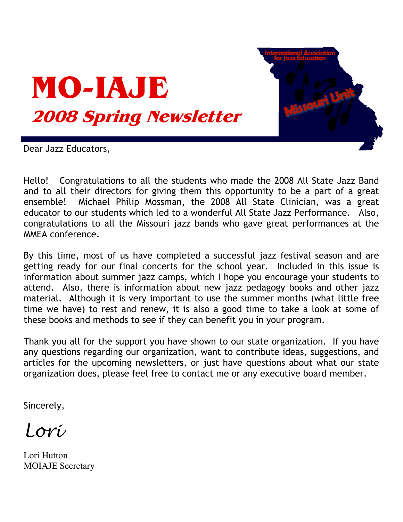



Dear Jazz Educators,

Hello! Congratulations to all the students who made the 2008 All State Jazz Band and to all their directors for giving them this opportunity to be a part of a great ensemble! Michael Philip Mossman, the 2008 All State Clinician, was a great educator to our students which led to a wonderful All State Jazz Performance. Also, congratulations to all the Missouri jazz bands who gave great performances at the MMEA conference.

By this time, most of us have completed a successful jazz festival season and are getting ready for our final concerts for the school year. Included in this issue is information about summer jazz camps, which I hope you encourage your students to attend. Also, there is information about new jazz pedagogy books and other jazz material. Although it is very important to use the summer months (what little free time we have) to rest and renew, it is also a good time to take a look at some of these books and methods to see if they can benefit you in your program.

Thank you all for the support you have shown to our state organization. If you have any questions regarding our organization, want to contribute ideas, suggestions, and articles for the upcoming newsletters, or just have questions about what our state organization does, please feel free to contact me or any executive board member.

Sincerely,

Lori

Lori Hutton **MOIAJE Secretary**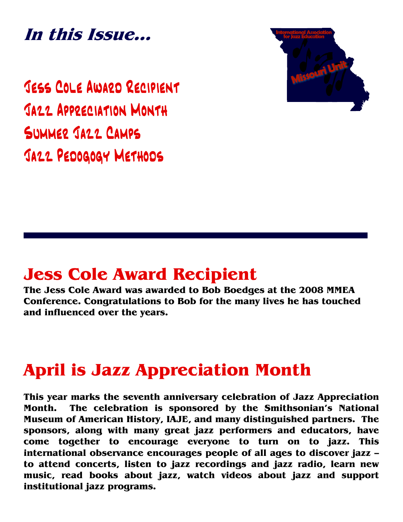In this Issue...

JESS COLE AWARD RECIPIENT JAZZ APPRECIATION MONTH SUMMER JAZZ CAMPS JAZZ PEDOGOGY METHODS



# **Jess Cole Award Recipient**

The Jess Cole Award was awarded to Bob Boedges at the 2008 MMEA Conference. Congratulations to Bob for the many lives he has touched and influenced over the years.

# **April is Jazz Appreciation Month**

This year marks the seventh anniversary celebration of Jazz Appreciation The celebration is sponsored by the Smithsonian's National Month. Museum of American History, IAJE, and many distinguished partners. The sponsors, along with many great jazz performers and educators, have come together to encourage everyone to turn on to jazz. This international observance encourages people of all ages to discover jazz to attend concerts, listen to jazz recordings and jazz radio, learn new music, read books about jazz, watch videos about jazz and support institutional jazz programs.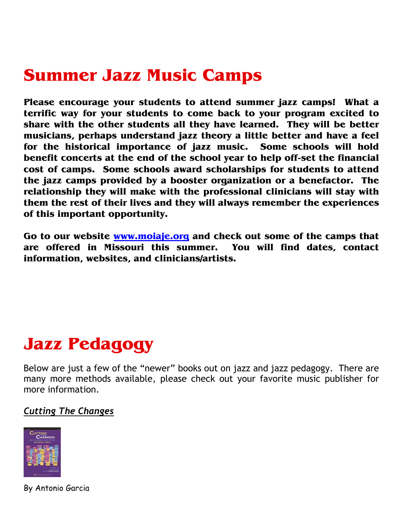Please encourage your students to attend summer jazz camps! What a terrific way for your students to come back to your program excited to share with the other students all they have learned. They will be better musicians, perhaps understand jazz theory a little better and have a feel for the historical importance of jazz music. Some schools will hold benefit concerts at the end of the school year to help off-set the financial cost of camps. Some schools award scholarships for students to attend the jazz camps provided by a booster organization or a benefactor. The relationship they will make with the professional clinicians will stay with them the rest of their lives and they will always remember the experiences of this important opportunity.

Go to our website www.moiaje.org and check out some of the camps that are offered in Missouri this summer. You will find dates, contact information, websites, and clinicians/artists.

# **Jazz Pedagogy**

Below are just a few of the "newer" books out on jazz and jazz pedagogy. There are many more methods available, please check out your favorite music publisher for more information.

## **Cutting The Changes**



By Antonio Garcia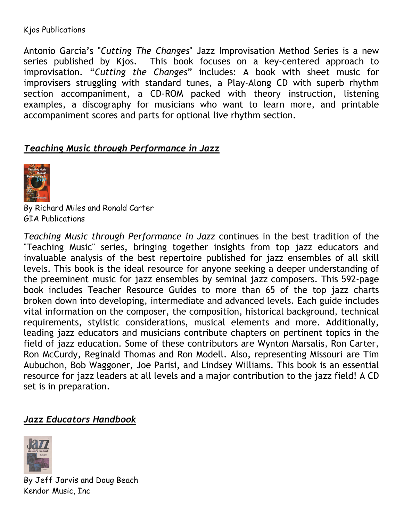#### Kjos Publications

Antonio Garcia's "Cutting The Changes" Jazz Improvisation Method Series is a new series published by Kjos. This book focuses on a key-centered approach to improvisation. "Cutting the Changes" includes: A book with sheet music for improvisers struggling with standard tunes, a Play-Along CD with superb rhythm section accompaniment, a CD-ROM packed with theory instruction, listening examples, a discography for musicians who want to learn more, and printable accompaniment scores and parts for optional live rhythm section.

# Teaching Music through Performance in Jazz



By Richard Miles and Ronald Carter **GTA Publications** 

Teaching Music through Performance in Jazz continues in the best tradition of the "Teaching Music" series, bringing together insights from top jazz educators and invaluable analysis of the best repertoire published for jazz ensembles of all skill levels. This book is the ideal resource for anyone seeking a deeper understanding of the preeminent music for jazz ensembles by seminal jazz composers. This 592-page book includes Teacher Resource Guides to more than 65 of the top jazz charts broken down into developing, intermediate and advanced levels. Each guide includes vital information on the composer, the composition, historical background, technical requirements, stylistic considerations, musical elements and more. Additionally, leading jazz educators and musicians contribute chapters on pertinent topics in the field of jazz education. Some of these contributors are Wynton Marsalis, Ron Carter, Ron McCurdy, Reginald Thomas and Ron Modell. Also, representing Missouri are Tim Aubuchon, Bob Waggoner, Joe Parisi, and Lindsey Williams. This book is an essential resource for jazz leaders at all levels and a major contribution to the jazz field! A CD set is in preparation.

## **Jazz Educators Handbook**



By Jeff Jarvis and Doug Beach Kendor Music, Inc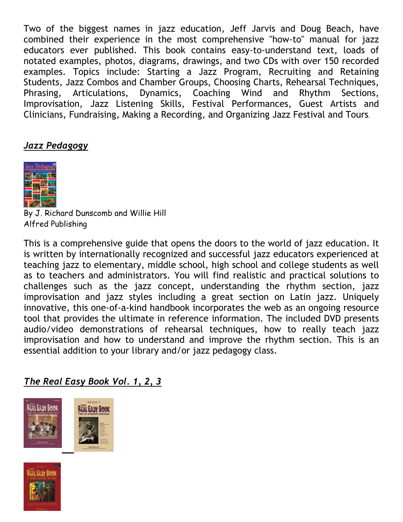Two of the biggest names in jazz education, Jeff Jarvis and Doug Beach, have combined their experience in the most comprehensive "how-to" manual for jazz educators ever published. This book contains easy-to-understand text, loads of notated examples, photos, diagrams, drawings, and two CDs with over 150 recorded examples. Topics include: Starting a Jazz Program, Recruiting and Retaining Students, Jazz Combos and Chamber Groups, Choosing Charts, Rehearsal Techniques, Dynamics, Coaching Articulations, and Phrasing, Wind Rhythm Sections, Improvisation, Jazz Listening Skills, Festival Performances, Guest Artists and Clinicians, Fundraising, Making a Recording, and Organizing Jazz Festival and Tours.

## Jazz Pedagogy



By J. Richard Dunscomb and Willie Hill Alfred Publishing

This is a comprehensive guide that opens the doors to the world of jazz education. It is written by internationally recognized and successful jazz educators experienced at teaching jazz to elementary, middle school, high school and college students as well as to teachers and administrators. You will find realistic and practical solutions to challenges such as the jazz concept, understanding the rhythm section, jazz improvisation and jazz styles including a great section on Latin jazz. Uniquely innovative, this one-of-a-kind handbook incorporates the web as an ongoing resource tool that provides the ultimate in reference information. The included DVD presents audio/video demonstrations of rehearsal techniques, how to really teach jazz improvisation and how to understand and improve the rhythm section. This is an essential addition to your library and/or jazz pedagogy class.

# The Real Easy Book Vol. 1, 2, 3